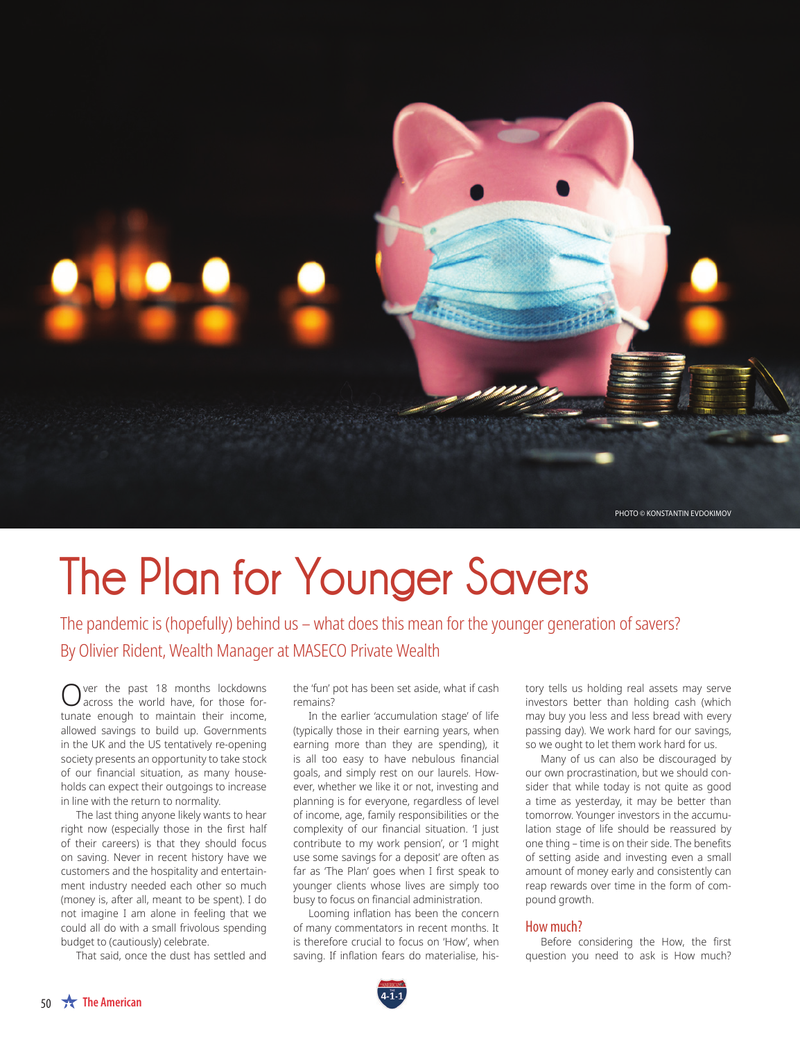

# **The Plan for Younger Savers**

The pandemic is (hopefully) behind us – what does this mean for the younger generation of savers? By Olivier Rident, Wealth Manager at MASECO Private Wealth

ver the past 18 months lockdowns across the world have, for those fortunate enough to maintain their income, allowed savings to build up. Governments in the UK and the US tentatively re-opening society presents an opportunity to take stock of our financial situation, as many households can expect their outgoings to increase in line with the return to normality.

The last thing anyone likely wants to hear right now (especially those in the first half of their careers) is that they should focus on saving. Never in recent history have we customers and the hospitality and entertainment industry needed each other so much (money is, after all, meant to be spent). I do not imagine I am alone in feeling that we could all do with a small frivolous spending budget to (cautiously) celebrate.

That said, once the dust has settled and

the 'fun' pot has been set aside, what if cash remains?

In the earlier 'accumulation stage' of life (typically those in their earning years, when earning more than they are spending), it is all too easy to have nebulous financial goals, and simply rest on our laurels. However, whether we like it or not, investing and planning is for everyone, regardless of level of income, age, family responsibilities or the complexity of our financial situation. '*I just contribute to my work pension*', or '*I might use some savings for a deposit*' are often as far as 'The Plan' goes when I first speak to younger clients whose lives are simply too busy to focus on financial administration.

Looming inflation has been the concern of many commentators in recent months. It is therefore crucial to focus on '*How'*, when saving. If inflation fears do materialise, history tells us holding real assets may serve investors better than holding cash (which may buy you less and less bread with every passing day). We work hard for our savings, so we ought to let them work hard for us.

Many of us can also be discouraged by our own procrastination, but we should consider that while today is not quite as good a time as yesterday, it may be better than tomorrow. Younger investors in the accumulation stage of life should be reassured by one thing – time is on their side. The benefits of setting aside and investing even a small amount of money early and consistently can reap rewards over time in the form of compound growth.

### How much?

Before considering the *How*, the first question you need to ask is *How much?*